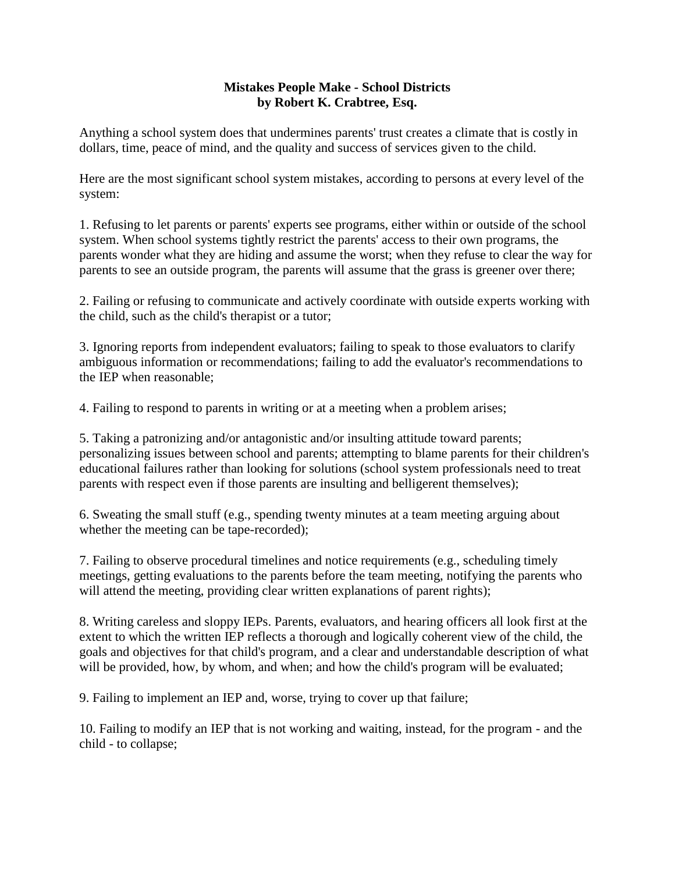## **Mistakes People Make - School Districts by Robert K. Crabtree, Esq.**

Anything a school system does that undermines parents' trust creates a climate that is costly in dollars, time, peace of mind, and the quality and success of services given to the child.

Here are the most significant school system mistakes, according to persons at every level of the system:

1. Refusing to let parents or parents' experts see programs, either within or outside of the school system. When school systems tightly restrict the parents' access to their own programs, the parents wonder what they are hiding and assume the worst; when they refuse to clear the way for parents to see an outside program, the parents will assume that the grass is greener over there;

2. Failing or refusing to communicate and actively coordinate with outside experts working with the child, such as the child's therapist or a tutor;

3. Ignoring reports from independent evaluators; failing to speak to those evaluators to clarify ambiguous information or recommendations; failing to add the evaluator's recommendations to the IEP when reasonable;

4. Failing to respond to parents in writing or at a meeting when a problem arises;

5. Taking a patronizing and/or antagonistic and/or insulting attitude toward parents; personalizing issues between school and parents; attempting to blame parents for their children's educational failures rather than looking for solutions (school system professionals need to treat parents with respect even if those parents are insulting and belligerent themselves);

6. Sweating the small stuff (e.g., spending twenty minutes at a team meeting arguing about whether the meeting can be tape-recorded);

7. Failing to observe procedural timelines and notice requirements (e.g., scheduling timely meetings, getting evaluations to the parents before the team meeting, notifying the parents who will attend the meeting, providing clear written explanations of parent rights);

8. Writing careless and sloppy IEPs. Parents, evaluators, and hearing officers all look first at the extent to which the written IEP reflects a thorough and logically coherent view of the child, the goals and objectives for that child's program, and a clear and understandable description of what will be provided, how, by whom, and when; and how the child's program will be evaluated;

9. Failing to implement an IEP and, worse, trying to cover up that failure;

10. Failing to modify an IEP that is not working and waiting, instead, for the program - and the child - to collapse;